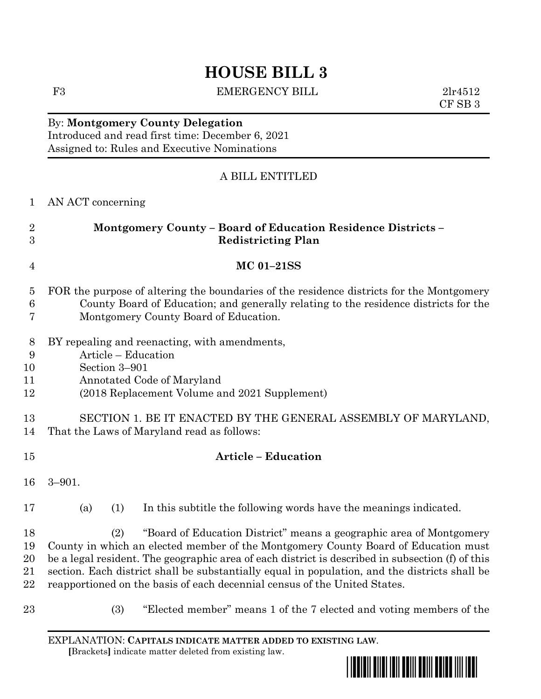F3 EMERGENCY BILL 2lr4512

CF SB 3

## By: **Montgomery County Delegation** Introduced and read first time: December 6, 2021 Assigned to: Rules and Executive Nominations

## A BILL ENTITLED

| $\mathbf{1}$                 | AN ACT concerning                                                                                                                                                                                                                                                                                                                                                                                                                                  |
|------------------------------|----------------------------------------------------------------------------------------------------------------------------------------------------------------------------------------------------------------------------------------------------------------------------------------------------------------------------------------------------------------------------------------------------------------------------------------------------|
| $\overline{2}$<br>3          | <b>Montgomery County - Board of Education Residence Districts -</b><br><b>Redistricting Plan</b>                                                                                                                                                                                                                                                                                                                                                   |
| 4                            | <b>MC 01-21SS</b>                                                                                                                                                                                                                                                                                                                                                                                                                                  |
| $\overline{5}$<br>$\,6$<br>7 | FOR the purpose of altering the boundaries of the residence districts for the Montgomery<br>County Board of Education; and generally relating to the residence districts for the<br>Montgomery County Board of Education.                                                                                                                                                                                                                          |
| 8<br>9<br>10<br>11<br>12     | BY repealing and reenacting, with amendments,<br>Article - Education<br>Section 3-901<br>Annotated Code of Maryland<br>(2018 Replacement Volume and 2021 Supplement)                                                                                                                                                                                                                                                                               |
| 13<br>14                     | SECTION 1. BE IT ENACTED BY THE GENERAL ASSEMBLY OF MARYLAND,<br>That the Laws of Maryland read as follows:                                                                                                                                                                                                                                                                                                                                        |
| 15                           | <b>Article - Education</b>                                                                                                                                                                                                                                                                                                                                                                                                                         |
| 16                           | $3 - 901.$                                                                                                                                                                                                                                                                                                                                                                                                                                         |
| 17                           | (1)<br>In this subtitle the following words have the meanings indicated.<br>(a)                                                                                                                                                                                                                                                                                                                                                                    |
| 18<br>19<br>20<br>21<br>22   | "Board of Education District" means a geographic area of Montgomery<br>(2)<br>County in which an elected member of the Montgomery County Board of Education must<br>be a legal resident. The geographic area of each district is described in subsection (f) of this<br>section. Each district shall be substantially equal in population, and the districts shall be<br>reapportioned on the basis of each decennial census of the United States. |
| 23                           | (3)<br>"Elected member" means 1 of the 7 elected and voting members of the                                                                                                                                                                                                                                                                                                                                                                         |

EXPLANATION: **CAPITALS INDICATE MATTER ADDED TO EXISTING LAW**.  **[**Brackets**]** indicate matter deleted from existing law.

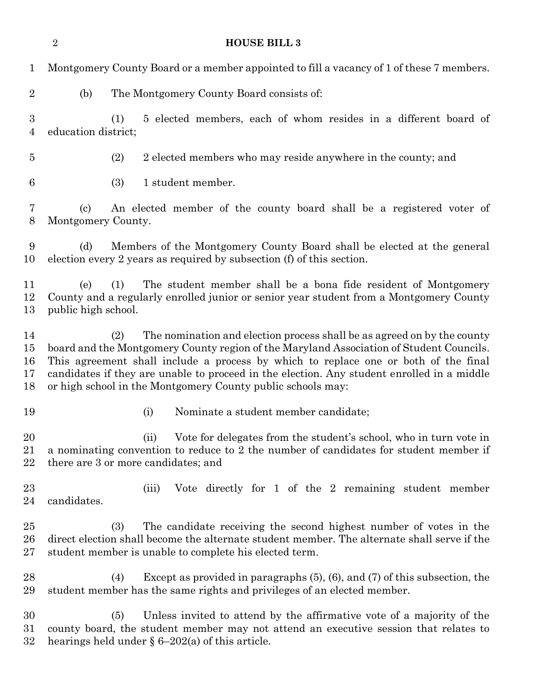|                                    | $\boldsymbol{2}$                                 | <b>HOUSE BILL 3</b>                                                                                                                                                                                                                                                                                                                                                                                                           |
|------------------------------------|--------------------------------------------------|-------------------------------------------------------------------------------------------------------------------------------------------------------------------------------------------------------------------------------------------------------------------------------------------------------------------------------------------------------------------------------------------------------------------------------|
| $\mathbf{1}$                       |                                                  | Montgomery County Board or a member appointed to fill a vacancy of 1 of these 7 members.                                                                                                                                                                                                                                                                                                                                      |
| $\overline{2}$                     | (b)                                              | The Montgomery County Board consists of:                                                                                                                                                                                                                                                                                                                                                                                      |
| $\boldsymbol{3}$<br>$\overline{4}$ | education district;                              | 5 elected members, each of whom resides in a different board of<br>(1)                                                                                                                                                                                                                                                                                                                                                        |
| $\bf 5$                            |                                                  | (2)<br>2 elected members who may reside anywhere in the county; and                                                                                                                                                                                                                                                                                                                                                           |
| $6\phantom{.}6$                    |                                                  | (3)<br>1 student member.                                                                                                                                                                                                                                                                                                                                                                                                      |
| 7<br>8                             | $\left( \mathrm{c}\right)$<br>Montgomery County. | An elected member of the county board shall be a registered voter of                                                                                                                                                                                                                                                                                                                                                          |
| 9<br>10                            | (d)                                              | Members of the Montgomery County Board shall be elected at the general<br>election every 2 years as required by subsection (f) of this section.                                                                                                                                                                                                                                                                               |
| 11<br>12<br>13                     | (e)<br>public high school.                       | The student member shall be a bona fide resident of Montgomery<br>(1)<br>County and a regularly enrolled junior or senior year student from a Montgomery County                                                                                                                                                                                                                                                               |
| 14<br>15<br>16<br>17<br>18         |                                                  | The nomination and election process shall be as agreed on by the county<br>(2)<br>board and the Montgomery County region of the Maryland Association of Student Councils.<br>This agreement shall include a process by which to replace one or both of the final<br>candidates if they are unable to proceed in the election. Any student enrolled in a middle<br>or high school in the Montgomery County public schools may: |
| 19                                 |                                                  | (i)<br>Nominate a student member candidate;                                                                                                                                                                                                                                                                                                                                                                                   |
| 20<br>21<br>22                     |                                                  | Vote for delegates from the student's school, who in turn vote in<br>(ii)<br>a nominating convention to reduce to 2 the number of candidates for student member if<br>there are 3 or more candidates; and                                                                                                                                                                                                                     |
| 23<br>24                           | candidates.                                      | Vote directly for 1 of the 2 remaining student member<br>(iii)                                                                                                                                                                                                                                                                                                                                                                |
| 25<br>$26\,$<br>$27\,$             |                                                  | The candidate receiving the second highest number of votes in the<br>(3)<br>direct election shall become the alternate student member. The alternate shall serve if the<br>student member is unable to complete his elected term.                                                                                                                                                                                             |
| 28<br>29                           |                                                  | Except as provided in paragraphs $(5)$ , $(6)$ , and $(7)$ of this subsection, the<br>(4)<br>student member has the same rights and privileges of an elected member.                                                                                                                                                                                                                                                          |
| 30<br>$31\,$<br>$32\,$             |                                                  | Unless invited to attend by the affirmative vote of a majority of the<br>(5)<br>county board, the student member may not attend an executive session that relates to<br>hearings held under $\S 6-202(a)$ of this article.                                                                                                                                                                                                    |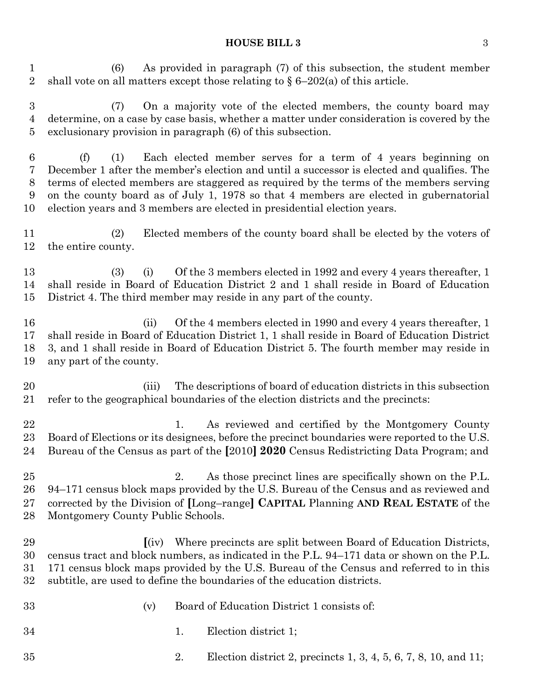(6) As provided in paragraph (7) of this subsection, the student member 2 shall vote on all matters except those relating to  $\S 6-202(a)$  of this article.

 (7) On a majority vote of the elected members, the county board may determine, on a case by case basis, whether a matter under consideration is covered by the exclusionary provision in paragraph (6) of this subsection.

 (f) (1) Each elected member serves for a term of 4 years beginning on December 1 after the member's election and until a successor is elected and qualifies. The terms of elected members are staggered as required by the terms of the members serving on the county board as of July 1, 1978 so that 4 members are elected in gubernatorial election years and 3 members are elected in presidential election years.

 (2) Elected members of the county board shall be elected by the voters of the entire county.

 (3) (i) Of the 3 members elected in 1992 and every 4 years thereafter, 1 shall reside in Board of Education District 2 and 1 shall reside in Board of Education District 4. The third member may reside in any part of the county.

16 (ii) Of the 4 members elected in 1990 and every 4 years thereafter, 1 shall reside in Board of Education District 1, 1 shall reside in Board of Education District 3, and 1 shall reside in Board of Education District 5. The fourth member may reside in any part of the county.

 (iii) The descriptions of board of education districts in this subsection refer to the geographical boundaries of the election districts and the precincts:

22 1. As reviewed and certified by the Montgomery County Board of Elections or its designees, before the precinct boundaries were reported to the U.S. Bureau of the Census as part of the **[**2010**] 2020** Census Redistricting Data Program; and

 2. As those precinct lines are specifically shown on the P.L. 94–171 census block maps provided by the U.S. Bureau of the Census and as reviewed and corrected by the Division of **[**Long–range**] CAPITAL** Planning **AND REAL ESTATE** of the Montgomery County Public Schools.

- **[**(iv) Where precincts are split between Board of Education Districts, census tract and block numbers, as indicated in the P.L. 94–171 data or shown on the P.L. 171 census block maps provided by the U.S. Bureau of the Census and referred to in this subtitle, are used to define the boundaries of the education districts.
- (v) Board of Education District 1 consists of:
- 1. Election district 1;
- 2. Election district 2, precincts 1, 3, 4, 5, 6, 7, 8, 10, and 11;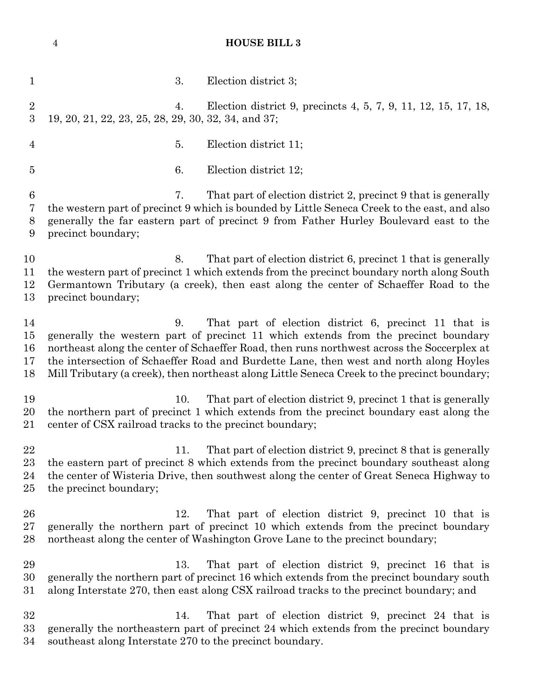1 3. Election district 3; 4. Election district 9, precincts 4, 5, 7, 9, 11, 12, 15, 17, 18, 19, 20, 21, 22, 23, 25, 28, 29, 30, 32, 34, and 37; 5. Election district 11; 6. Election district 12; 7. That part of election district 2, precinct 9 that is generally the western part of precinct 9 which is bounded by Little Seneca Creek to the east, and also generally the far eastern part of precinct 9 from Father Hurley Boulevard east to the precinct boundary; 10 8. That part of election district 6, precinct 1 that is generally the western part of precinct 1 which extends from the precinct boundary north along South Germantown Tributary (a creek), then east along the center of Schaeffer Road to the precinct boundary; 9. That part of election district 6, precinct 11 that is generally the western part of precinct 11 which extends from the precinct boundary northeast along the center of Schaeffer Road, then runs northwest across the Soccerplex at the intersection of Schaeffer Road and Burdette Lane, then west and north along Hoyles Mill Tributary (a creek), then northeast along Little Seneca Creek to the precinct boundary; 19 10. That part of election district 9, precinct 1 that is generally the northern part of precinct 1 which extends from the precinct boundary east along the center of CSX railroad tracks to the precinct boundary; 22 11. That part of election district 9, precinct 8 that is generally the eastern part of precinct 8 which extends from the precinct boundary southeast along the center of Wisteria Drive, then southwest along the center of Great Seneca Highway to the precinct boundary; 12. That part of election district 9, precinct 10 that is generally the northern part of precinct 10 which extends from the precinct boundary northeast along the center of Washington Grove Lane to the precinct boundary; 13. That part of election district 9, precinct 16 that is generally the northern part of precinct 16 which extends from the precinct boundary south along Interstate 270, then east along CSX railroad tracks to the precinct boundary; and 14. That part of election district 9, precinct 24 that is generally the northeastern part of precinct 24 which extends from the precinct boundary southeast along Interstate 270 to the precinct boundary.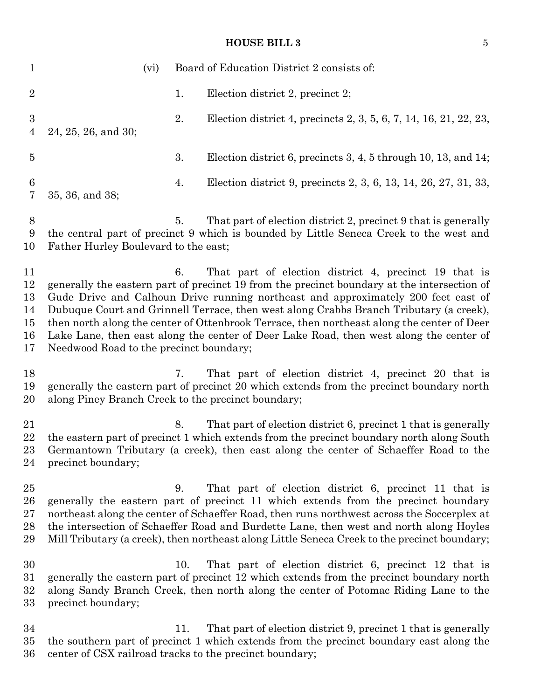| $\mathbf{1}$                           | (vi)                                               |    | Board of Education District 2 consists of:                                                                                                                                                                                                                                                                                                                                                                                                                                                                                  |
|----------------------------------------|----------------------------------------------------|----|-----------------------------------------------------------------------------------------------------------------------------------------------------------------------------------------------------------------------------------------------------------------------------------------------------------------------------------------------------------------------------------------------------------------------------------------------------------------------------------------------------------------------------|
| $\overline{2}$                         |                                                    | 1. | Election district 2, precinct 2;                                                                                                                                                                                                                                                                                                                                                                                                                                                                                            |
| $\boldsymbol{3}$<br>$\overline{4}$     | 24, 25, 26, and 30;                                | 2. | Election district 4, precincts 2, 3, 5, 6, 7, 14, 16, 21, 22, 23,                                                                                                                                                                                                                                                                                                                                                                                                                                                           |
| $\overline{5}$                         |                                                    | 3. | Election district 6, precincts 3, 4, 5 through 10, 13, and 14;                                                                                                                                                                                                                                                                                                                                                                                                                                                              |
| 6<br>7                                 | 35, 36, and 38;                                    | 4. | Election district 9, precincts 2, 3, 6, 13, 14, 26, 27, 31, 33,                                                                                                                                                                                                                                                                                                                                                                                                                                                             |
| 8<br>9<br>10                           | Father Hurley Boulevard to the east;               | 5. | That part of election district 2, precinct 9 that is generally<br>the central part of precinct 9 which is bounded by Little Seneca Creek to the west and                                                                                                                                                                                                                                                                                                                                                                    |
| 11<br>12<br>13<br>14<br>15<br>16<br>17 | Needwood Road to the precinct boundary;            | 6. | That part of election district 4, precinct 19 that is<br>generally the eastern part of precinct 19 from the precinct boundary at the intersection of<br>Gude Drive and Calhoun Drive running northeast and approximately 200 feet east of<br>Dubuque Court and Grinnell Terrace, then west along Crabbs Branch Tributary (a creek),<br>then north along the center of Ottenbrook Terrace, then northeast along the center of Deer<br>Lake Lane, then east along the center of Deer Lake Road, then west along the center of |
| 18<br>19<br>20                         | along Piney Branch Creek to the precinct boundary; | 7. | That part of election district 4, precinct 20 that is<br>generally the eastern part of precinct 20 which extends from the precinct boundary north                                                                                                                                                                                                                                                                                                                                                                           |

21 8. That part of election district 6, precinct 1 that is generally the eastern part of precinct 1 which extends from the precinct boundary north along South Germantown Tributary (a creek), then east along the center of Schaeffer Road to the precinct boundary;

 9. That part of election district 6, precinct 11 that is generally the eastern part of precinct 11 which extends from the precinct boundary northeast along the center of Schaeffer Road, then runs northwest across the Soccerplex at the intersection of Schaeffer Road and Burdette Lane, then west and north along Hoyles Mill Tributary (a creek), then northeast along Little Seneca Creek to the precinct boundary;

 10. That part of election district 6, precinct 12 that is generally the eastern part of precinct 12 which extends from the precinct boundary north along Sandy Branch Creek, then north along the center of Potomac Riding Lane to the precinct boundary;

 11. That part of election district 9, precinct 1 that is generally the southern part of precinct 1 which extends from the precinct boundary east along the center of CSX railroad tracks to the precinct boundary;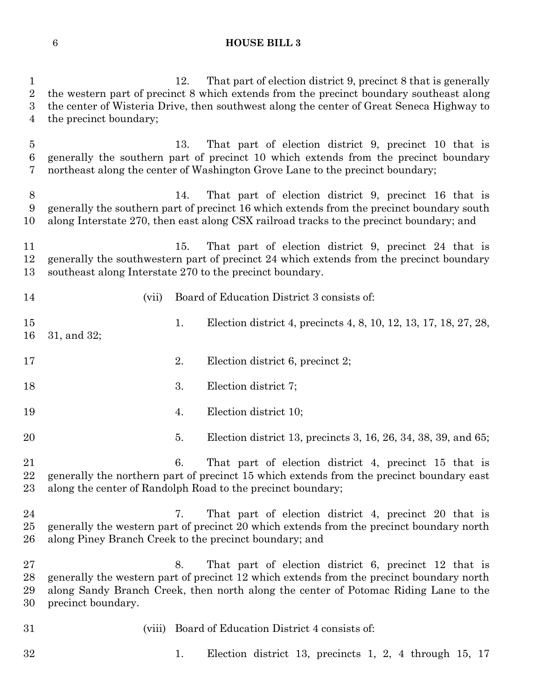1 12. That part of election district 9, precinct 8 that is generally the western part of precinct 8 which extends from the precinct boundary southeast along the center of Wisteria Drive, then southwest along the center of Great Seneca Highway to the precinct boundary; 13. That part of election district 9, precinct 10 that is generally the southern part of precinct 10 which extends from the precinct boundary northeast along the center of Washington Grove Lane to the precinct boundary; 14. That part of election district 9, precinct 16 that is generally the southern part of precinct 16 which extends from the precinct boundary south along Interstate 270, then east along CSX railroad tracks to the precinct boundary; and 11 15. That part of election district 9, precinct 24 that is generally the southwestern part of precinct 24 which extends from the precinct boundary southeast along Interstate 270 to the precinct boundary. (vii) Board of Education District 3 consists of: 15 1. Election district 4, precincts 4, 8, 10, 12, 13, 17, 18, 27, 28, 31, and 32; 2. Election district 6, precinct 2; 18 3. Election district 7; 4. Election district 10; 5. Election district 13, precincts 3, 16, 26, 34, 38, 39, and 65; 6. That part of election district 4, precinct 15 that is generally the northern part of precinct 15 which extends from the precinct boundary east along the center of Randolph Road to the precinct boundary; 7. That part of election district 4, precinct 20 that is generally the western part of precinct 20 which extends from the precinct boundary north along Piney Branch Creek to the precinct boundary; and 8. That part of election district 6, precinct 12 that is generally the western part of precinct 12 which extends from the precinct boundary north along Sandy Branch Creek, then north along the center of Potomac Riding Lane to the precinct boundary. (viii) Board of Education District 4 consists of: 1. Election district 13, precincts 1, 2, 4 through 15, 17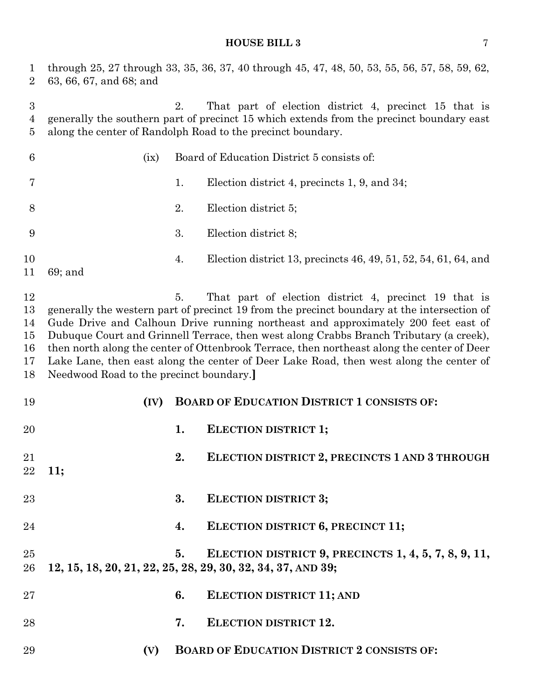through 25, 27 through 33, 35, 36, 37, 40 through 45, 47, 48, 50, 53, 55, 56, 57, 58, 59, 62, 63, 66, 67, and 68; and

 2. That part of election district 4, precinct 15 that is generally the southern part of precinct 15 which extends from the precinct boundary east along the center of Randolph Road to the precinct boundary.

| 6                                      | (ix)                                    |    | Board of Education District 5 consists of:                                                                                                                                                                                                                                                                                                                                                                                                                                                                                  |
|----------------------------------------|-----------------------------------------|----|-----------------------------------------------------------------------------------------------------------------------------------------------------------------------------------------------------------------------------------------------------------------------------------------------------------------------------------------------------------------------------------------------------------------------------------------------------------------------------------------------------------------------------|
| 7                                      |                                         | 1. | Election district 4, precincts 1, 9, and 34;                                                                                                                                                                                                                                                                                                                                                                                                                                                                                |
| 8                                      |                                         | 2. | Election district 5;                                                                                                                                                                                                                                                                                                                                                                                                                                                                                                        |
| 9                                      |                                         | 3. | Election district 8;                                                                                                                                                                                                                                                                                                                                                                                                                                                                                                        |
| 10<br>11                               | $69;$ and                               | 4. | Election district 13, precincts 46, 49, 51, 52, 54, 61, 64, and                                                                                                                                                                                                                                                                                                                                                                                                                                                             |
| 12<br>13<br>14<br>15<br>16<br>17<br>18 | Needwood Road to the precinct boundary. | 5. | That part of election district 4, precinct 19 that is<br>generally the western part of precinct 19 from the precinct boundary at the intersection of<br>Gude Drive and Calhoun Drive running northeast and approximately 200 feet east of<br>Dubuque Court and Grinnell Terrace, then west along Crabbs Branch Tributary (a creek),<br>then north along the center of Ottenbrook Terrace, then northeast along the center of Deer<br>Lake Lane, then east along the center of Deer Lake Road, then west along the center of |
| 19                                     | (IV)                                    |    | <b>BOARD OF EDUCATION DISTRICT 1 CONSISTS OF:</b>                                                                                                                                                                                                                                                                                                                                                                                                                                                                           |
| 20                                     |                                         | 1. | <b>ELECTION DISTRICT 1;</b>                                                                                                                                                                                                                                                                                                                                                                                                                                                                                                 |
| 21<br>22                               | 11:                                     | 2. | ELECTION DISTRICT 2, PRECINCTS 1 AND 3 THROUGH                                                                                                                                                                                                                                                                                                                                                                                                                                                                              |
| 23                                     |                                         | 3. | <b>ELECTION DISTRICT 3;</b>                                                                                                                                                                                                                                                                                                                                                                                                                                                                                                 |
| 24                                     |                                         | 4. | ELECTION DISTRICT 6, PRECINCT 11;                                                                                                                                                                                                                                                                                                                                                                                                                                                                                           |
| 25<br>26                               |                                         | 5. | ELECTION DISTRICT 9, PRECINCTS 1, 4, 5, 7, 8, 9, 11,<br>12, 15, 18, 20, 21, 22, 25, 28, 29, 30, 32, 34, 37, AND 39;                                                                                                                                                                                                                                                                                                                                                                                                         |
| 27                                     |                                         | 6. | <b>ELECTION DISTRICT 11; AND</b>                                                                                                                                                                                                                                                                                                                                                                                                                                                                                            |
| 28                                     |                                         | 7. | <b>ELECTION DISTRICT 12.</b>                                                                                                                                                                                                                                                                                                                                                                                                                                                                                                |
|                                        |                                         |    |                                                                                                                                                                                                                                                                                                                                                                                                                                                                                                                             |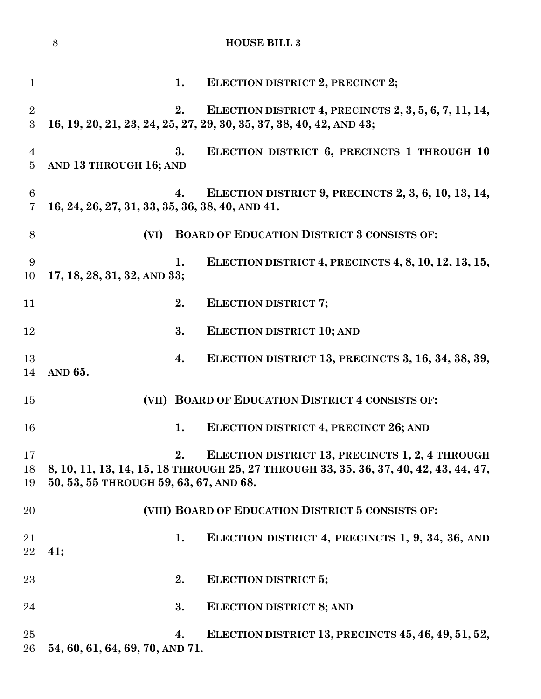|                                    | $8\,$                                           |    | <b>HOUSE BILL 3</b>                                                                                                                     |
|------------------------------------|-------------------------------------------------|----|-----------------------------------------------------------------------------------------------------------------------------------------|
| $\mathbf{1}$                       |                                                 | 1. | ELECTION DISTRICT 2, PRECINCT 2;                                                                                                        |
| $\overline{2}$<br>3                |                                                 | 2. | ELECTION DISTRICT 4, PRECINCTS 2, 3, 5, 6, 7, 11, 14,<br>16, 19, 20, 21, 23, 24, 25, 27, 29, 30, 35, 37, 38, 40, 42, AND 43;            |
| $\overline{4}$<br>$\overline{5}$   | AND 13 THROUGH 16; AND                          | 3. | ELECTION DISTRICT 6, PRECINCTS 1 THROUGH 10                                                                                             |
| $\boldsymbol{6}$<br>$\overline{7}$ | 16, 24, 26, 27, 31, 33, 35, 36, 38, 40, AND 41. | 4. | ELECTION DISTRICT 9, PRECINCTS 2, 3, 6, 10, 13, 14,                                                                                     |
| 8                                  | (VI)                                            |    | <b>BOARD OF EDUCATION DISTRICT 3 CONSISTS OF:</b>                                                                                       |
| 9<br>10                            | 17, 18, 28, 31, 32, AND 33;                     | 1. | ELECTION DISTRICT 4, PRECINCTS 4, 8, 10, 12, 13, 15,                                                                                    |
| 11                                 |                                                 | 2. | <b>ELECTION DISTRICT 7;</b>                                                                                                             |
| 12                                 |                                                 | 3. | <b>ELECTION DISTRICT 10; AND</b>                                                                                                        |
| 13<br>14                           | AND 65.                                         | 4. | ELECTION DISTRICT 13, PRECINCTS 3, 16, 34, 38, 39,                                                                                      |
| 15                                 |                                                 |    | (VII) BOARD OF EDUCATION DISTRICT 4 CONSISTS OF:                                                                                        |
| 16                                 |                                                 | 1. | ELECTION DISTRICT 4, PRECINCT 26; AND                                                                                                   |
| 17<br>18<br>19                     | 50, 53, 55 THROUGH 59, 63, 67, AND 68.          | 2. | ELECTION DISTRICT 13, PRECINCTS 1, 2, 4 THROUGH<br>8, 10, 11, 13, 14, 15, 18 THROUGH 25, 27 THROUGH 33, 35, 36, 37, 40, 42, 43, 44, 47, |
| 20                                 |                                                 |    | (VIII) BOARD OF EDUCATION DISTRICT 5 CONSISTS OF:                                                                                       |
| 21<br>22                           | 41:                                             | 1. | ELECTION DISTRICT 4, PRECINCTS 1, 9, 34, 36, AND                                                                                        |
| 23                                 |                                                 | 2. | <b>ELECTION DISTRICT 5;</b>                                                                                                             |
| 24                                 |                                                 | 3. | <b>ELECTION DISTRICT 8; AND</b>                                                                                                         |
| $25\,$<br>26                       | 54, 60, 61, 64, 69, 70, AND 71.                 | 4. | ELECTION DISTRICT 13, PRECINCTS 45, 46, 49, 51, 52,                                                                                     |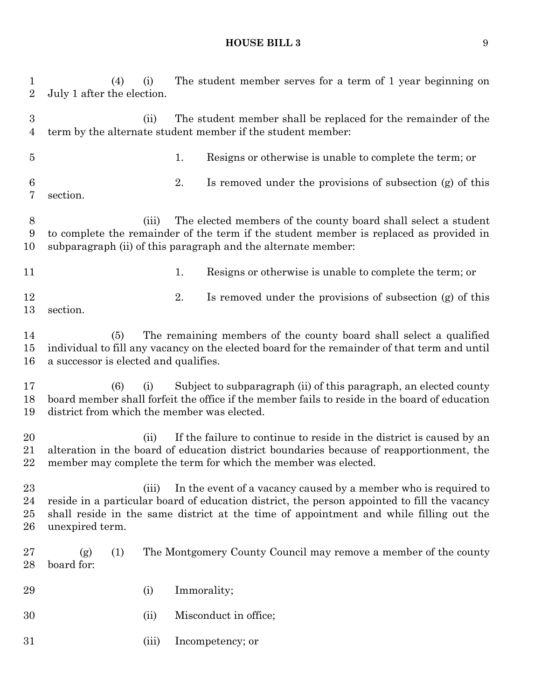(4) (i) The student member serves for a term of 1 year beginning on July 1 after the election. (ii) The student member shall be replaced for the remainder of the term by the alternate student member if the student member: 1. Resigns or otherwise is unable to complete the term; or 2. Is removed under the provisions of subsection (g) of this section. (iii) The elected members of the county board shall select a student to complete the remainder of the term if the student member is replaced as provided in subparagraph (ii) of this paragraph and the alternate member: 11 1. Resigns or otherwise is unable to complete the term; or 12 12 12 2. Is removed under the provisions of subsection (g) of this section. (5) The remaining members of the county board shall select a qualified individual to fill any vacancy on the elected board for the remainder of that term and until a successor is elected and qualifies. (6) (i) Subject to subparagraph (ii) of this paragraph, an elected county board member shall forfeit the office if the member fails to reside in the board of education district from which the member was elected. 20 (ii) If the failure to continue to reside in the district is caused by an alteration in the board of education district boundaries because of reapportionment, the member may complete the term for which the member was elected. 23 (iii) In the event of a vacancy caused by a member who is required to reside in a particular board of education district, the person appointed to fill the vacancy shall reside in the same district at the time of appointment and while filling out the unexpired term. (g) (1) The Montgomery County Council may remove a member of the county board for: (i) Immorality; (ii) Misconduct in office; (iii) Incompetency; or